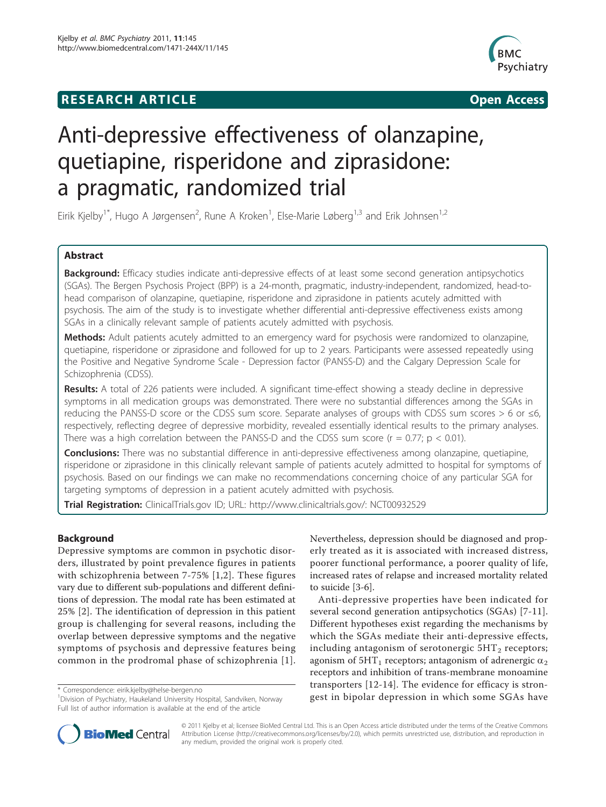## **RESEARCH ARTICLE Example 2008 CONSIDERING CONSIDERING CONSIDERING CONSIDERING CONSIDERING CONSIDERING CONSIDERING CONSIDERING CONSIDERING CONSIDERING CONSIDERING CONSIDERING CONSIDERING CONSIDERING CONSIDERING CONSIDE**



# Anti-depressive effectiveness of olanzapine, quetiapine, risperidone and ziprasidone: a pragmatic, randomized trial

Eirik Kjelby<sup>1\*</sup>, Hugo A Jørgensen<sup>2</sup>, Rune A Kroken<sup>1</sup>, Else-Marie Løberg<sup>1,3</sup> and Erik Johnsen<sup>1,2</sup>

## Abstract

**Background:** Efficacy studies indicate anti-depressive effects of at least some second generation antipsychotics (SGAs). The Bergen Psychosis Project (BPP) is a 24-month, pragmatic, industry-independent, randomized, head-tohead comparison of olanzapine, quetiapine, risperidone and ziprasidone in patients acutely admitted with psychosis. The aim of the study is to investigate whether differential anti-depressive effectiveness exists among SGAs in a clinically relevant sample of patients acutely admitted with psychosis.

Methods: Adult patients acutely admitted to an emergency ward for psychosis were randomized to olanzapine, quetiapine, risperidone or ziprasidone and followed for up to 2 years. Participants were assessed repeatedly using the Positive and Negative Syndrome Scale - Depression factor (PANSS-D) and the Calgary Depression Scale for Schizophrenia (CDSS).

Results: A total of 226 patients were included. A significant time-effect showing a steady decline in depressive symptoms in all medication groups was demonstrated. There were no substantial differences among the SGAs in reducing the PANSS-D score or the CDSS sum score. Separate analyses of groups with CDSS sum scores  $> 6$  or  $\leq 6$ , respectively, reflecting degree of depressive morbidity, revealed essentially identical results to the primary analyses. There was a high correlation between the PANSS-D and the CDSS sum score ( $r = 0.77$ ;  $p < 0.01$ ).

Conclusions: There was no substantial difference in anti-depressive effectiveness among olanzapine, quetiapine, risperidone or ziprasidone in this clinically relevant sample of patients acutely admitted to hospital for symptoms of psychosis. Based on our findings we can make no recommendations concerning choice of any particular SGA for targeting symptoms of depression in a patient acutely admitted with psychosis.

Trial Registration: ClinicalTrials.gov ID; URL: [http://www.clinicaltrials.gov/:](http://www.clinicaltrials.gov/) [NCT00932529](http://www.clinicaltrials.gov/ct2/show/NCT00932529)

## Background

Depressive symptoms are common in psychotic disorders, illustrated by point prevalence figures in patients with schizophrenia between 7-75% [[1,2\]](#page-8-0). These figures vary due to different sub-populations and different definitions of depression. The modal rate has been estimated at 25% [[2](#page-8-0)]. The identification of depression in this patient group is challenging for several reasons, including the overlap between depressive symptoms and the negative symptoms of psychosis and depressive features being common in the prodromal phase of schizophrenia [[1\]](#page-8-0).

<sup>1</sup> Division of Psychiatry, Haukeland University Hospital, Sandviken, Norway Full list of author information is available at the end of the article

Nevertheless, depression should be diagnosed and properly treated as it is associated with increased distress, poorer functional performance, a poorer quality of life, increased rates of relapse and increased mortality related to suicide [[3-6\]](#page-8-0).

Anti-depressive properties have been indicated for several second generation antipsychotics (SGAs) [\[7](#page-8-0)-[11](#page-8-0)]. Different hypotheses exist regarding the mechanisms by which the SGAs mediate their anti-depressive effects, including antagonism of serotonergic  $5HT_2$  receptors; agonism of 5HT<sub>1</sub> receptors; antagonism of adrenergic  $\alpha_2$ receptors and inhibition of trans-membrane monoamine transporters [\[12](#page-8-0)-[14](#page-8-0)]. The evidence for efficacy is stron\* Correspondence: [eirik.kjelby@helse-bergen.no](mailto:eirik.kjelby@helse-bergen.no)<br>
<sup>1</sup>Division of Psychiatry, Haukeland University Hospital, Sandviken, Norway **gest in bipolar depression in which some SGAs have** 



© 2011 Kjelby et al; licensee BioMed Central Ltd. This is an Open Access article distributed under the terms of the Creative Commons Attribution License [\(http://creativecommons.org/licenses/by/2.0](http://creativecommons.org/licenses/by/2.0)), which permits unrestricted use, distribution, and reproduction in any medium, provided the original work is properly cited.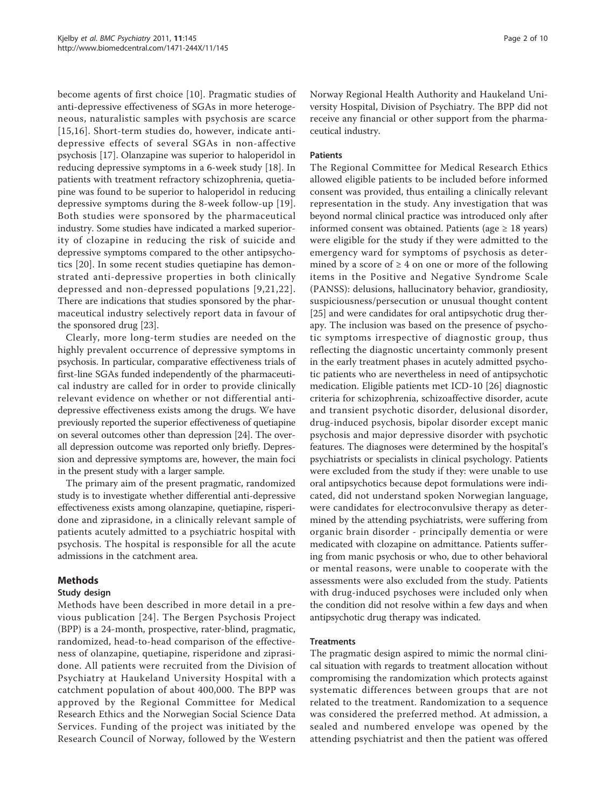become agents of first choice [\[10](#page-8-0)]. Pragmatic studies of anti-depressive effectiveness of SGAs in more heterogeneous, naturalistic samples with psychosis are scarce [[15](#page-8-0),[16](#page-8-0)]. Short-term studies do, however, indicate antidepressive effects of several SGAs in non-affective psychosis [[17\]](#page-8-0). Olanzapine was superior to haloperidol in reducing depressive symptoms in a 6-week study [[18\]](#page-8-0). In patients with treatment refractory schizophrenia, quetiapine was found to be superior to haloperidol in reducing depressive symptoms during the 8-week follow-up [[19](#page-8-0)]. Both studies were sponsored by the pharmaceutical industry. Some studies have indicated a marked superiority of clozapine in reducing the risk of suicide and depressive symptoms compared to the other antipsychotics [\[20](#page-8-0)]. In some recent studies quetiapine has demonstrated anti-depressive properties in both clinically depressed and non-depressed populations [[9](#page-8-0),[21](#page-8-0),[22\]](#page-8-0). There are indications that studies sponsored by the pharmaceutical industry selectively report data in favour of the sponsored drug [\[23\]](#page-8-0).

Clearly, more long-term studies are needed on the highly prevalent occurrence of depressive symptoms in psychosis. In particular, comparative effectiveness trials of first-line SGAs funded independently of the pharmaceutical industry are called for in order to provide clinically relevant evidence on whether or not differential antidepressive effectiveness exists among the drugs. We have previously reported the superior effectiveness of quetiapine on several outcomes other than depression [[24](#page-8-0)]. The overall depression outcome was reported only briefly. Depression and depressive symptoms are, however, the main foci in the present study with a larger sample.

The primary aim of the present pragmatic, randomized study is to investigate whether differential anti-depressive effectiveness exists among olanzapine, quetiapine, risperidone and ziprasidone, in a clinically relevant sample of patients acutely admitted to a psychiatric hospital with psychosis. The hospital is responsible for all the acute admissions in the catchment area.

## Methods

## Study design

Methods have been described in more detail in a previous publication [[24](#page-8-0)]. The Bergen Psychosis Project (BPP) is a 24-month, prospective, rater-blind, pragmatic, randomized, head-to-head comparison of the effectiveness of olanzapine, quetiapine, risperidone and ziprasidone. All patients were recruited from the Division of Psychiatry at Haukeland University Hospital with a catchment population of about 400,000. The BPP was approved by the Regional Committee for Medical Research Ethics and the Norwegian Social Science Data Services. Funding of the project was initiated by the Research Council of Norway, followed by the Western Norway Regional Health Authority and Haukeland University Hospital, Division of Psychiatry. The BPP did not receive any financial or other support from the pharmaceutical industry.

#### Patients

The Regional Committee for Medical Research Ethics allowed eligible patients to be included before informed consent was provided, thus entailing a clinically relevant representation in the study. Any investigation that was beyond normal clinical practice was introduced only after informed consent was obtained. Patients (age  $\geq 18$  years) were eligible for the study if they were admitted to the emergency ward for symptoms of psychosis as determined by a score of  $\geq 4$  on one or more of the following items in the Positive and Negative Syndrome Scale (PANSS): delusions, hallucinatory behavior, grandiosity, suspiciousness/persecution or unusual thought content [[25\]](#page-8-0) and were candidates for oral antipsychotic drug therapy. The inclusion was based on the presence of psychotic symptoms irrespective of diagnostic group, thus reflecting the diagnostic uncertainty commonly present in the early treatment phases in acutely admitted psychotic patients who are nevertheless in need of antipsychotic medication. Eligible patients met ICD-10 [[26\]](#page-8-0) diagnostic criteria for schizophrenia, schizoaffective disorder, acute and transient psychotic disorder, delusional disorder, drug-induced psychosis, bipolar disorder except manic psychosis and major depressive disorder with psychotic features. The diagnoses were determined by the hospital's psychiatrists or specialists in clinical psychology. Patients were excluded from the study if they: were unable to use oral antipsychotics because depot formulations were indicated, did not understand spoken Norwegian language, were candidates for electroconvulsive therapy as determined by the attending psychiatrists, were suffering from organic brain disorder - principally dementia or were medicated with clozapine on admittance. Patients suffering from manic psychosis or who, due to other behavioral or mental reasons, were unable to cooperate with the assessments were also excluded from the study. Patients with drug-induced psychoses were included only when the condition did not resolve within a few days and when antipsychotic drug therapy was indicated.

#### **Treatments**

The pragmatic design aspired to mimic the normal clinical situation with regards to treatment allocation without compromising the randomization which protects against systematic differences between groups that are not related to the treatment. Randomization to a sequence was considered the preferred method. At admission, a sealed and numbered envelope was opened by the attending psychiatrist and then the patient was offered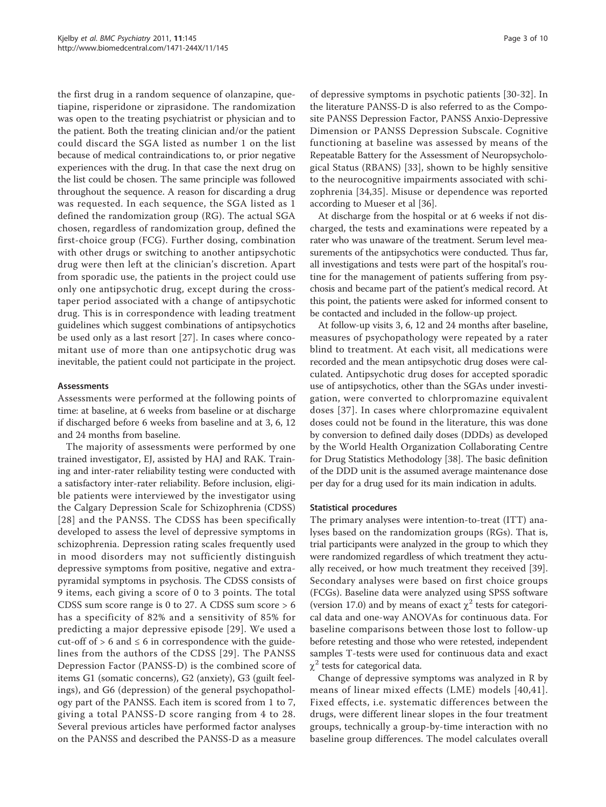the first drug in a random sequence of olanzapine, quetiapine, risperidone or ziprasidone. The randomization was open to the treating psychiatrist or physician and to the patient. Both the treating clinician and/or the patient could discard the SGA listed as number 1 on the list because of medical contraindications to, or prior negative experiences with the drug. In that case the next drug on the list could be chosen. The same principle was followed throughout the sequence. A reason for discarding a drug was requested. In each sequence, the SGA listed as 1 defined the randomization group (RG). The actual SGA chosen, regardless of randomization group, defined the first-choice group (FCG). Further dosing, combination with other drugs or switching to another antipsychotic drug were then left at the clinician's discretion. Apart from sporadic use, the patients in the project could use only one antipsychotic drug, except during the crosstaper period associated with a change of antipsychotic drug. This is in correspondence with leading treatment guidelines which suggest combinations of antipsychotics be used only as a last resort [\[27](#page-8-0)]. In cases where concomitant use of more than one antipsychotic drug was inevitable, the patient could not participate in the project.

## Assessments

Assessments were performed at the following points of time: at baseline, at 6 weeks from baseline or at discharge if discharged before 6 weeks from baseline and at 3, 6, 12 and 24 months from baseline.

The majority of assessments were performed by one trained investigator, EJ, assisted by HAJ and RAK. Training and inter-rater reliability testing were conducted with a satisfactory inter-rater reliability. Before inclusion, eligible patients were interviewed by the investigator using the Calgary Depression Scale for Schizophrenia (CDSS) [[28\]](#page-8-0) and the PANSS. The CDSS has been specifically developed to assess the level of depressive symptoms in schizophrenia. Depression rating scales frequently used in mood disorders may not sufficiently distinguish depressive symptoms from positive, negative and extrapyramidal symptoms in psychosis. The CDSS consists of 9 items, each giving a score of 0 to 3 points. The total CDSS sum score range is 0 to 27. A CDSS sum score > 6 has a specificity of 82% and a sensitivity of 85% for predicting a major depressive episode [[29\]](#page-8-0). We used a cut-off of  $> 6$  and  $\leq 6$  in correspondence with the guidelines from the authors of the CDSS [[29\]](#page-8-0). The PANSS Depression Factor (PANSS-D) is the combined score of items G1 (somatic concerns), G2 (anxiety), G3 (guilt feelings), and G6 (depression) of the general psychopathology part of the PANSS. Each item is scored from 1 to 7, giving a total PANSS-D score ranging from 4 to 28. Several previous articles have performed factor analyses on the PANSS and described the PANSS-D as a measure of depressive symptoms in psychotic patients [[30-32\]](#page-8-0). In the literature PANSS-D is also referred to as the Composite PANSS Depression Factor, PANSS Anxio-Depressive Dimension or PANSS Depression Subscale. Cognitive functioning at baseline was assessed by means of the Repeatable Battery for the Assessment of Neuropsychological Status (RBANS) [[33\]](#page-8-0), shown to be highly sensitive to the neurocognitive impairments associated with schizophrenia [\[34,35](#page-8-0)]. Misuse or dependence was reported according to Mueser et al [\[36](#page-8-0)].

At discharge from the hospital or at 6 weeks if not discharged, the tests and examinations were repeated by a rater who was unaware of the treatment. Serum level measurements of the antipsychotics were conducted. Thus far, all investigations and tests were part of the hospital's routine for the management of patients suffering from psychosis and became part of the patient's medical record. At this point, the patients were asked for informed consent to be contacted and included in the follow-up project.

At follow-up visits 3, 6, 12 and 24 months after baseline, measures of psychopathology were repeated by a rater blind to treatment. At each visit, all medications were recorded and the mean antipsychotic drug doses were calculated. Antipsychotic drug doses for accepted sporadic use of antipsychotics, other than the SGAs under investigation, were converted to chlorpromazine equivalent doses [[37\]](#page-8-0). In cases where chlorpromazine equivalent doses could not be found in the literature, this was done by conversion to defined daily doses (DDDs) as developed by the World Health Organization Collaborating Centre for Drug Statistics Methodology [\[38](#page-8-0)]. The basic definition of the DDD unit is the assumed average maintenance dose per day for a drug used for its main indication in adults.

## Statistical procedures

The primary analyses were intention-to-treat (ITT) analyses based on the randomization groups (RGs). That is, trial participants were analyzed in the group to which they were randomized regardless of which treatment they actually received, or how much treatment they received [\[39](#page-8-0)]. Secondary analyses were based on first choice groups (FCGs). Baseline data were analyzed using SPSS software (version 17.0) and by means of exact  $\chi^2$  tests for categorical data and one-way ANOVAs for continuous data. For baseline comparisons between those lost to follow-up before retesting and those who were retested, independent samples T-tests were used for continuous data and exact  $\chi^2$  tests for categorical data.

Change of depressive symptoms was analyzed in R by means of linear mixed effects (LME) models [[40,41\]](#page-8-0). Fixed effects, i.e. systematic differences between the drugs, were different linear slopes in the four treatment groups, technically a group-by-time interaction with no baseline group differences. The model calculates overall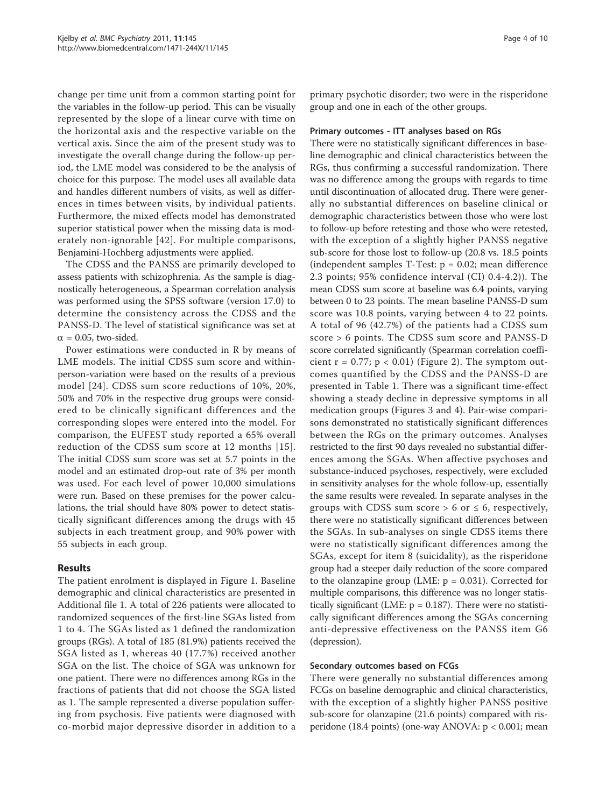change per time unit from a common starting point for the variables in the follow-up period. This can be visually represented by the slope of a linear curve with time on the horizontal axis and the respective variable on the vertical axis. Since the aim of the present study was to investigate the overall change during the follow-up period, the LME model was considered to be the analysis of choice for this purpose. The model uses all available data and handles different numbers of visits, as well as differences in times between visits, by individual patients. Furthermore, the mixed effects model has demonstrated superior statistical power when the missing data is moderately non-ignorable [[42](#page-8-0)]. For multiple comparisons, Benjamini-Hochberg adjustments were applied.

The CDSS and the PANSS are primarily developed to assess patients with schizophrenia. As the sample is diagnostically heterogeneous, a Spearman correlation analysis was performed using the SPSS software (version 17.0) to determine the consistency across the CDSS and the PANSS-D. The level of statistical significance was set at  $\alpha$  = 0.05, two-sided.

Power estimations were conducted in R by means of LME models. The initial CDSS sum score and withinperson-variation were based on the results of a previous model [\[24\]](#page-8-0). CDSS sum score reductions of 10%, 20%, 50% and 70% in the respective drug groups were considered to be clinically significant differences and the corresponding slopes were entered into the model. For comparison, the EUFEST study reported a 65% overall reduction of the CDSS sum score at 12 months [[15\]](#page-8-0). The initial CDSS sum score was set at 5.7 points in the model and an estimated drop-out rate of 3% per month was used. For each level of power 10,000 simulations were run. Based on these premises for the power calculations, the trial should have 80% power to detect statistically significant differences among the drugs with 45 subjects in each treatment group, and 90% power with 55 subjects in each group.

## Results

The patient enrolment is displayed in Figure [1](#page-4-0). Baseline demographic and clinical characteristics are presented in Additional file [1.](#page-7-0) A total of 226 patients were allocated to randomized sequences of the first-line SGAs listed from 1 to 4. The SGAs listed as 1 defined the randomization groups (RGs). A total of 185 (81.9%) patients received the SGA listed as 1, whereas 40 (17.7%) received another SGA on the list. The choice of SGA was unknown for one patient. There were no differences among RGs in the fractions of patients that did not choose the SGA listed as 1. The sample represented a diverse population suffering from psychosis. Five patients were diagnosed with co-morbid major depressive disorder in addition to a

primary psychotic disorder; two were in the risperidone group and one in each of the other groups.

#### Primary outcomes - ITT analyses based on RGs

There were no statistically significant differences in baseline demographic and clinical characteristics between the RGs, thus confirming a successful randomization. There was no difference among the groups with regards to time until discontinuation of allocated drug. There were generally no substantial differences on baseline clinical or demographic characteristics between those who were lost to follow-up before retesting and those who were retested, with the exception of a slightly higher PANSS negative sub-score for those lost to follow-up (20.8 vs. 18.5 points (independent samples  $T-Test: p = 0.02$ ; mean difference 2.3 points; 95% confidence interval (CI) 0.4-4.2)). The mean CDSS sum score at baseline was 6.4 points, varying between 0 to 23 points. The mean baseline PANSS-D sum score was 10.8 points, varying between 4 to 22 points. A total of 96 (42.7%) of the patients had a CDSS sum score > 6 points. The CDSS sum score and PANSS-D score correlated significantly (Spearman correlation coefficient  $r = 0.77$ ;  $p < 0.01$ ) (Figure [2\)](#page-5-0). The symptom outcomes quantified by the CDSS and the PANSS-D are presented in Table [1](#page-5-0). There was a significant time-effect showing a steady decline in depressive symptoms in all medication groups (Figures [3](#page-6-0) and [4\)](#page-6-0). Pair-wise comparisons demonstrated no statistically significant differences between the RGs on the primary outcomes. Analyses restricted to the first 90 days revealed no substantial differences among the SGAs. When affective psychoses and substance-induced psychoses, respectively, were excluded in sensitivity analyses for the whole follow-up, essentially the same results were revealed. In separate analyses in the groups with CDSS sum score  $> 6$  or  $\leq 6$ , respectively, there were no statistically significant differences between the SGAs. In sub-analyses on single CDSS items there were no statistically significant differences among the SGAs, except for item 8 (suicidality), as the risperidone group had a steeper daily reduction of the score compared to the olanzapine group (LME:  $p = 0.031$ ). Corrected for multiple comparisons, this difference was no longer statistically significant (LME:  $p = 0.187$ ). There were no statistically significant differences among the SGAs concerning anti-depressive effectiveness on the PANSS item G6 (depression).

## Secondary outcomes based on FCGs

There were generally no substantial differences among FCGs on baseline demographic and clinical characteristics, with the exception of a slightly higher PANSS positive sub-score for olanzapine (21.6 points) compared with risperidone (18.4 points) (one-way ANOVA: p < 0.001; mean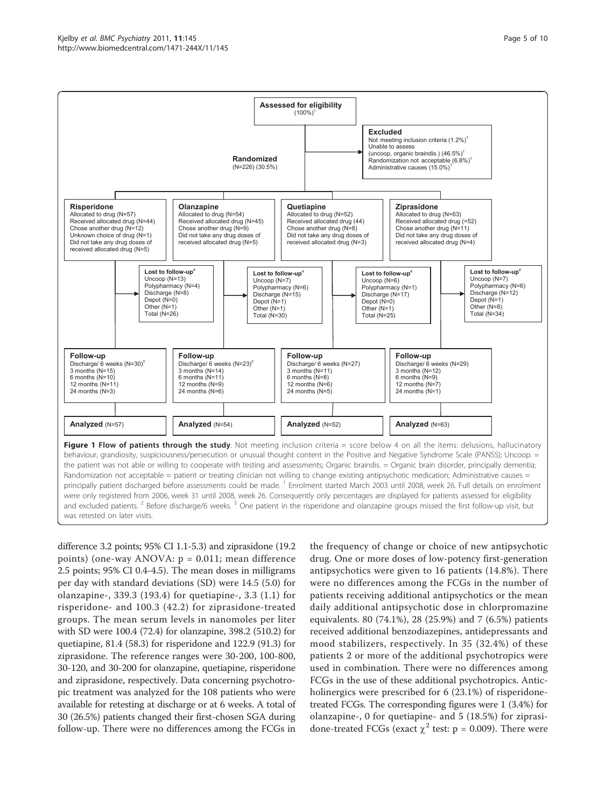<span id="page-4-0"></span>

difference 3.2 points; 95% CI 1.1-5.3) and ziprasidone (19.2 points) (one-way ANOVA: p = 0.011; mean difference 2.5 points; 95% CI 0.4-4.5). The mean doses in milligrams per day with standard deviations (SD) were 14.5 (5.0) for olanzapine-, 339.3 (193.4) for quetiapine-, 3.3 (1.1) for risperidone- and 100.3 (42.2) for ziprasidone-treated groups. The mean serum levels in nanomoles per liter with SD were 100.4 (72.4) for olanzapine, 398.2 (510.2) for quetiapine, 81.4 (58.3) for risperidone and 122.9 (91.3) for ziprasidone. The reference ranges were 30-200, 100-800, 30-120, and 30-200 for olanzapine, quetiapine, risperidone and ziprasidone, respectively. Data concerning psychotropic treatment was analyzed for the 108 patients who were available for retesting at discharge or at 6 weeks. A total of 30 (26.5%) patients changed their first-chosen SGA during follow-up. There were no differences among the FCGs in

the frequency of change or choice of new antipsychotic drug. One or more doses of low-potency first-generation antipsychotics were given to 16 patients (14.8%). There were no differences among the FCGs in the number of patients receiving additional antipsychotics or the mean daily additional antipsychotic dose in chlorpromazine equivalents. 80 (74.1%), 28 (25.9%) and 7 (6.5%) patients received additional benzodiazepines, antidepressants and mood stabilizers, respectively. In 35 (32.4%) of these patients 2 or more of the additional psychotropics were used in combination. There were no differences among FCGs in the use of these additional psychotropics. Anticholinergics were prescribed for 6 (23.1%) of risperidonetreated FCGs. The corresponding figures were 1 (3.4%) for olanzapine-, 0 for quetiapine- and 5 (18.5%) for ziprasidone-treated FCGs (exact  $\chi^2$  test: p = 0.009). There were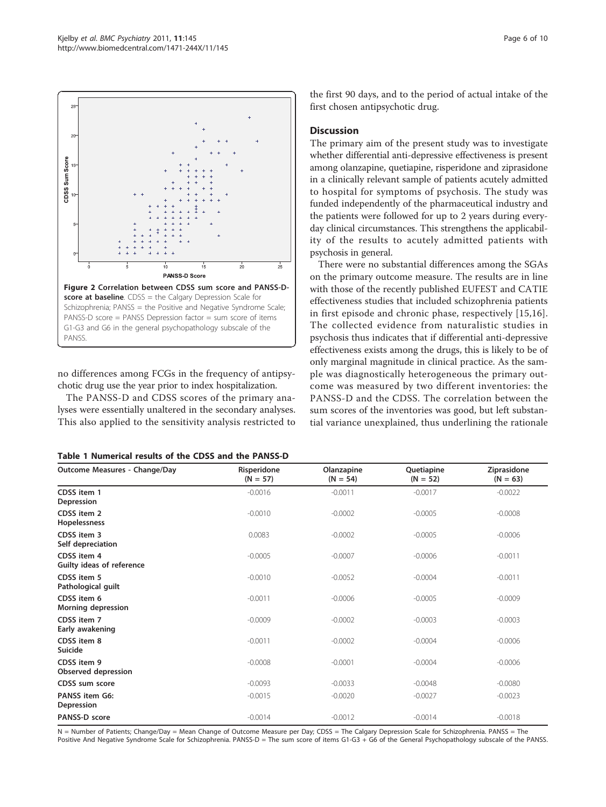<span id="page-5-0"></span>

no differences among FCGs in the frequency of antipsychotic drug use the year prior to index hospitalization.

The PANSS-D and CDSS scores of the primary analyses were essentially unaltered in the secondary analyses. This also applied to the sensitivity analysis restricted to

the first 90 days, and to the period of actual intake of the first chosen antipsychotic drug.

## **Discussion**

The primary aim of the present study was to investigate whether differential anti-depressive effectiveness is present among olanzapine, quetiapine, risperidone and ziprasidone in a clinically relevant sample of patients acutely admitted to hospital for symptoms of psychosis. The study was funded independently of the pharmaceutical industry and the patients were followed for up to 2 years during everyday clinical circumstances. This strengthens the applicability of the results to acutely admitted patients with psychosis in general.

There were no substantial differences among the SGAs on the primary outcome measure. The results are in line with those of the recently published EUFEST and CATIE effectiveness studies that included schizophrenia patients in first episode and chronic phase, respectively [\[15](#page-8-0),[16](#page-8-0)]. The collected evidence from naturalistic studies in psychosis thus indicates that if differential anti-depressive effectiveness exists among the drugs, this is likely to be of only marginal magnitude in clinical practice. As the sample was diagnostically heterogeneous the primary outcome was measured by two different inventories: the PANSS-D and the CDSS. The correlation between the sum scores of the inventories was good, but left substantial variance unexplained, thus underlining the rationale

|  | Table 1 Numerical results of the CDSS and the PANSS-D |  |  |  |  |
|--|-------------------------------------------------------|--|--|--|--|
|  |                                                       |  |  |  |  |

| Outcome Measures - Change/Day            | Risperidone<br>$(N = 57)$ | Olanzapine<br>$(N = 54)$ | Quetiapine<br>$(N = 52)$ | Ziprasidone<br>$(N = 63)$ |
|------------------------------------------|---------------------------|--------------------------|--------------------------|---------------------------|
| CDSS item 1<br>Depression                | $-0.0016$                 | $-0.0011$                | $-0.0017$                | $-0.0022$                 |
| CDSS item 2<br>Hopelessness              | $-0.0010$                 | $-0.0002$                | $-0.0005$                | $-0.0008$                 |
| CDSS item 3<br>Self depreciation         | 0.0083                    | $-0.0002$                | $-0.0005$                | $-0.0006$                 |
| CDSS item 4<br>Guilty ideas of reference | $-0.0005$                 | $-0.0007$                | $-0.0006$                | $-0.0011$                 |
| CDSS item 5<br>Pathological guilt        | $-0.0010$                 | $-0.0052$                | $-0.0004$                | $-0.0011$                 |
| CDSS item 6<br>Morning depression        | $-0.0011$                 | $-0.0006$                | $-0.0005$                | $-0.0009$                 |
| CDSS item 7<br>Early awakening           | $-0.0009$                 | $-0.0002$                | $-0.0003$                | $-0.0003$                 |
| CDSS item 8<br>Suicide                   | $-0.0011$                 | $-0.0002$                | $-0.0004$                | $-0.0006$                 |
| CDSS item 9<br>Observed depression       | $-0.0008$                 | $-0.0001$                | $-0.0004$                | $-0.0006$                 |
| CDSS sum score                           | $-0.0093$                 | $-0.0033$                | $-0.0048$                | $-0.0080$                 |
| PANSS item G6:<br>Depression             | $-0.0015$                 | $-0.0020$                | $-0.0027$                | $-0.0023$                 |
| <b>PANSS-D score</b>                     | $-0.0014$                 | $-0.0012$                | $-0.0014$                | $-0.0018$                 |

N = Number of Patients; Change/Day = Mean Change of Outcome Measure per Day; CDSS = The Calgary Depression Scale for Schizophrenia. PANSS = The Positive And Negative Syndrome Scale for Schizophrenia. PANSS-D = The sum score of items G1-G3 + G6 of the General Psychopathology subscale of the PANSS.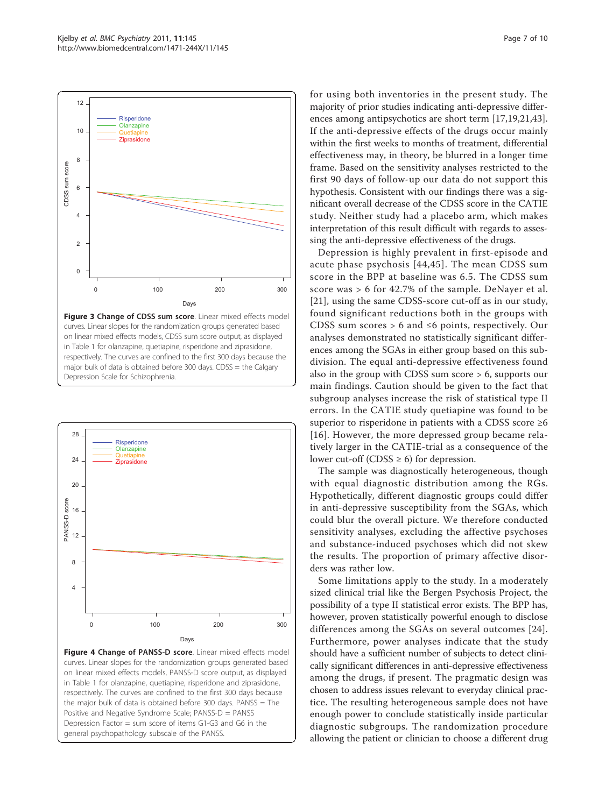<span id="page-6-0"></span>

Figure 3 Change of CDSS sum score. Linear mixed effects model curves. Linear slopes for the randomization groups generated based on linear mixed effects models, CDSS sum score output, as displayed in Table 1 for olanzapine, quetiapine, risperidone and ziprasidone, respectively. The curves are confined to the first 300 days because the major bulk of data is obtained before 300 days. CDSS = the Calgary Depression Scale for Schizophrenia.



Figure 4 Change of PANSS-D score. Linear mixed effects model curves. Linear slopes for the randomization groups generated based on linear mixed effects models, PANSS-D score output, as displayed in Table 1 for olanzapine, quetiapine, risperidone and ziprasidone, respectively. The curves are confined to the first 300 days because the major bulk of data is obtained before 300 days. PANSS = The Positive and Negative Syndrome Scale; PANSS-D = PANSS Depression Factor = sum score of items G1-G3 and G6 in the general psychopathology subscale of the PANSS.

for using both inventories in the present study. The majority of prior studies indicating anti-depressive differences among antipsychotics are short term [\[17,19,21](#page-8-0)[,43](#page-9-0)]. If the anti-depressive effects of the drugs occur mainly within the first weeks to months of treatment, differential effectiveness may, in theory, be blurred in a longer time frame. Based on the sensitivity analyses restricted to the first 90 days of follow-up our data do not support this hypothesis. Consistent with our findings there was a significant overall decrease of the CDSS score in the CATIE study. Neither study had a placebo arm, which makes interpretation of this result difficult with regards to assessing the anti-depressive effectiveness of the drugs.

Depression is highly prevalent in first-episode and acute phase psychosis [[44,45\]](#page-9-0). The mean CDSS sum score in the BPP at baseline was 6.5. The CDSS sum score was > 6 for 42.7% of the sample. DeNayer et al. [[21\]](#page-8-0), using the same CDSS-score cut-off as in our study, found significant reductions both in the groups with CDSS sum scores  $> 6$  and ≤6 points, respectively. Our analyses demonstrated no statistically significant differences among the SGAs in either group based on this subdivision. The equal anti-depressive effectiveness found also in the group with CDSS sum score > 6, supports our main findings. Caution should be given to the fact that subgroup analyses increase the risk of statistical type II errors. In the CATIE study quetiapine was found to be superior to risperidone in patients with a CDSS score ≥6 [[16](#page-8-0)]. However, the more depressed group became relatively larger in the CATIE-trial as a consequence of the lower cut-off (CDSS  $\geq$  6) for depression.

The sample was diagnostically heterogeneous, though with equal diagnostic distribution among the RGs. Hypothetically, different diagnostic groups could differ in anti-depressive susceptibility from the SGAs, which could blur the overall picture. We therefore conducted sensitivity analyses, excluding the affective psychoses and substance-induced psychoses which did not skew the results. The proportion of primary affective disorders was rather low.

Some limitations apply to the study. In a moderately sized clinical trial like the Bergen Psychosis Project, the possibility of a type II statistical error exists. The BPP has, however, proven statistically powerful enough to disclose differences among the SGAs on several outcomes [[24](#page-8-0)]. Furthermore, power analyses indicate that the study should have a sufficient number of subjects to detect clinically significant differences in anti-depressive effectiveness among the drugs, if present. The pragmatic design was chosen to address issues relevant to everyday clinical practice. The resulting heterogeneous sample does not have enough power to conclude statistically inside particular diagnostic subgroups. The randomization procedure allowing the patient or clinician to choose a different drug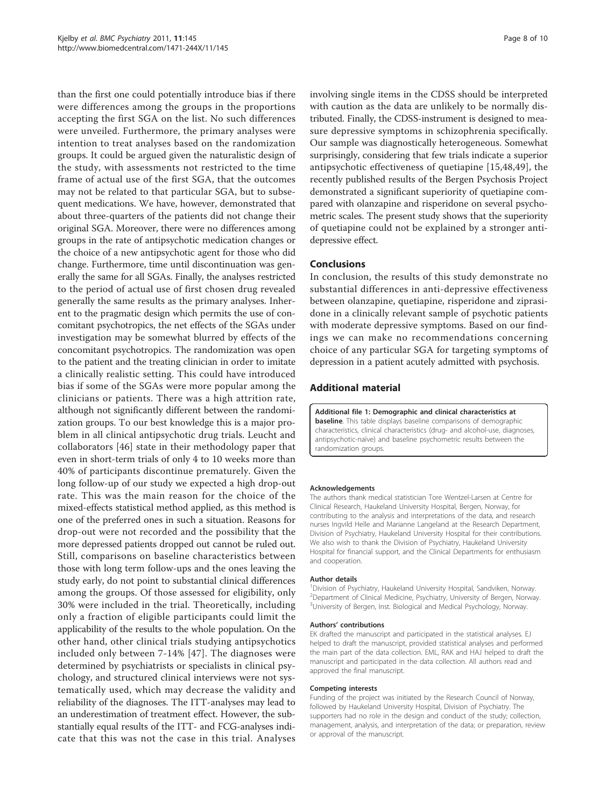<span id="page-7-0"></span>than the first one could potentially introduce bias if there were differences among the groups in the proportions accepting the first SGA on the list. No such differences were unveiled. Furthermore, the primary analyses were intention to treat analyses based on the randomization groups. It could be argued given the naturalistic design of the study, with assessments not restricted to the time frame of actual use of the first SGA, that the outcomes may not be related to that particular SGA, but to subsequent medications. We have, however, demonstrated that about three-quarters of the patients did not change their original SGA. Moreover, there were no differences among groups in the rate of antipsychotic medication changes or the choice of a new antipsychotic agent for those who did change. Furthermore, time until discontinuation was generally the same for all SGAs. Finally, the analyses restricted to the period of actual use of first chosen drug revealed generally the same results as the primary analyses. Inherent to the pragmatic design which permits the use of concomitant psychotropics, the net effects of the SGAs under investigation may be somewhat blurred by effects of the concomitant psychotropics. The randomization was open to the patient and the treating clinician in order to imitate a clinically realistic setting. This could have introduced bias if some of the SGAs were more popular among the clinicians or patients. There was a high attrition rate, although not significantly different between the randomization groups. To our best knowledge this is a major problem in all clinical antipsychotic drug trials. Leucht and collaborators [[46\]](#page-9-0) state in their methodology paper that even in short-term trials of only 4 to 10 weeks more than 40% of participants discontinue prematurely. Given the long follow-up of our study we expected a high drop-out rate. This was the main reason for the choice of the mixed-effects statistical method applied, as this method is one of the preferred ones in such a situation. Reasons for drop-out were not recorded and the possibility that the more depressed patients dropped out cannot be ruled out. Still, comparisons on baseline characteristics between those with long term follow-ups and the ones leaving the study early, do not point to substantial clinical differences among the groups. Of those assessed for eligibility, only 30% were included in the trial. Theoretically, including only a fraction of eligible participants could limit the applicability of the results to the whole population. On the other hand, other clinical trials studying antipsychotics included only between 7-14% [[47](#page-9-0)]. The diagnoses were determined by psychiatrists or specialists in clinical psychology, and structured clinical interviews were not systematically used, which may decrease the validity and reliability of the diagnoses. The ITT-analyses may lead to an underestimation of treatment effect. However, the substantially equal results of the ITT- and FCG-analyses indicate that this was not the case in this trial. Analyses

involving single items in the CDSS should be interpreted with caution as the data are unlikely to be normally distributed. Finally, the CDSS-instrument is designed to measure depressive symptoms in schizophrenia specifically. Our sample was diagnostically heterogeneous. Somewhat surprisingly, considering that few trials indicate a superior antipsychotic effectiveness of quetiapine [[15,](#page-8-0)[48](#page-9-0),[49\]](#page-9-0), the recently published results of the Bergen Psychosis Project demonstrated a significant superiority of quetiapine compared with olanzapine and risperidone on several psychometric scales. The present study shows that the superiority of quetiapine could not be explained by a stronger antidepressive effect.

#### Conclusions

In conclusion, the results of this study demonstrate no substantial differences in anti-depressive effectiveness between olanzapine, quetiapine, risperidone and ziprasidone in a clinically relevant sample of psychotic patients with moderate depressive symptoms. Based on our findings we can make no recommendations concerning choice of any particular SGA for targeting symptoms of depression in a patient acutely admitted with psychosis.

## Additional material

[Additional file 1: D](http://www.biomedcentral.com/content/supplementary/1471-244X-11-145-S1.DOC)emographic and clinical characteristics at **baseline**. This table displays baseline comparisons of demographic characteristics, clinical characteristics (drug- and alcohol-use, diagnoses, antipsychotic-naïve) and baseline psychometric results between the randomization groups.

#### Acknowledgements

The authors thank medical statistician Tore Wentzel-Larsen at Centre for Clinical Research, Haukeland University Hospital, Bergen, Norway, for contributing to the analysis and interpretations of the data, and research nurses Ingvild Helle and Marianne Langeland at the Research Department, Division of Psychiatry, Haukeland University Hospital for their contributions. We also wish to thank the Division of Psychiatry, Haukeland University Hospital for financial support, and the Clinical Departments for enthusiasm and cooperation.

#### Author details

<sup>1</sup> Division of Psychiatry, Haukeland University Hospital, Sandviken, Norway. <sup>2</sup>Department of Clinical Medicine, Psychiatry, University of Bergen, Norway <sup>3</sup>University of Bergen, Inst. Biological and Medical Psychology, Norway.

#### Authors' contributions

EK drafted the manuscript and participated in the statistical analyses. EJ helped to draft the manuscript, provided statistical analyses and performed the main part of the data collection. EML, RAK and HAJ helped to draft the manuscript and participated in the data collection. All authors read and approved the final manuscript.

#### Competing interests

Funding of the project was initiated by the Research Council of Norway, followed by Haukeland University Hospital, Division of Psychiatry. The supporters had no role in the design and conduct of the study; collection, management, analysis, and interpretation of the data; or preparation, review or approval of the manuscript.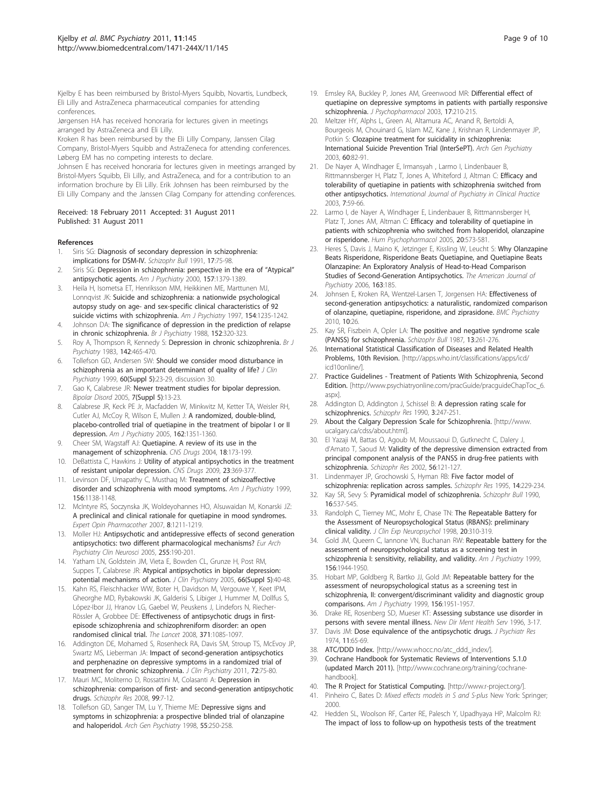<span id="page-8-0"></span>Kjelby E has been reimbursed by Bristol-Myers Squibb, Novartis, Lundbeck, Eli Lilly and AstraZeneca pharmaceutical companies for attending conferences.

Jørgensen HA has received honoraria for lectures given in meetings arranged by AstraZeneca and Eli Lilly.

Kroken R has been reimbursed by the Eli Lilly Company, Janssen Cilag Company, Bristol-Myers Squibb and AstraZeneca for attending conferences. Løberg EM has no competing interests to declare.

Johnsen E has received honoraria for lectures given in meetings arranged by Bristol-Myers Squibb, Eli Lilly, and AstraZeneca, and for a contribution to an information brochure by Eli Lilly. Erik Johnsen has been reimbursed by the Eli Lilly Company and the Janssen Cilag Company for attending conferences.

#### Received: 18 February 2011 Accepted: 31 August 2011 Published: 31 August 2011

#### References

- Siris SG: [Diagnosis of secondary depression in schizophrenia:](http://www.ncbi.nlm.nih.gov/pubmed/2047791?dopt=Abstract) [implications for DSM-IV.](http://www.ncbi.nlm.nih.gov/pubmed/2047791?dopt=Abstract) Schizophr Bull 1991, 17:75-98.
- 2. Siris SG: [Depression in schizophrenia: perspective in the era of](http://www.ncbi.nlm.nih.gov/pubmed/10964850?dopt=Abstract) "Atypical" [antipsychotic agents.](http://www.ncbi.nlm.nih.gov/pubmed/10964850?dopt=Abstract) Am J Psychiatry 2000, 157:1379-1389.
- 3. Heila H, Isometsa ET, Henriksson MM, Heikkinen ME, Marttunen MJ, Lonnqvist JK: [Suicide and schizophrenia: a nationwide psychological](http://www.ncbi.nlm.nih.gov/pubmed/9286182?dopt=Abstract) [autopsy study on age- and sex-specific clinical characteristics of 92](http://www.ncbi.nlm.nih.gov/pubmed/9286182?dopt=Abstract) [suicide victims with schizophrenia.](http://www.ncbi.nlm.nih.gov/pubmed/9286182?dopt=Abstract) Am J Psychiatry 1997, 154:1235-1242.
- 4. Johnson DA: [The significance of depression in the prediction of relapse](http://www.ncbi.nlm.nih.gov/pubmed/3167364?dopt=Abstract) [in chronic schizophrenia.](http://www.ncbi.nlm.nih.gov/pubmed/3167364?dopt=Abstract) Br J Psychiatry 1988, 152:320-323.
- 5. Roy A, Thompson R, Kennedy S: [Depression in chronic schizophrenia.](http://www.ncbi.nlm.nih.gov/pubmed/6871560?dopt=Abstract) Br J Psychiatry 1983, 142:465-470.
- 6. Tollefson GD, Andersen SW: [Should we consider mood disturbance in](http://www.ncbi.nlm.nih.gov/pubmed/10634352?dopt=Abstract) [schizophrenia as an important determinant of quality of life?](http://www.ncbi.nlm.nih.gov/pubmed/10634352?dopt=Abstract) J Clin Psychiatry 1999, 60(Suppl 5):23-29, discussion 30.
- 7. Gao K, Calabrese JR: [Newer treatment studies for bipolar depression.](http://www.ncbi.nlm.nih.gov/pubmed/16225556?dopt=Abstract) Bipolar Disord 2005, 7(Suppl 5):13-23.
- 8. Calabrese JR, Keck PE Jr, Macfadden W, Minkwitz M, Ketter TA, Weisler RH, Cutler AJ, McCoy R, Wilson E, Mullen J: [A randomized, double-blind,](http://www.ncbi.nlm.nih.gov/pubmed/15994719?dopt=Abstract) [placebo-controlled trial of quetiapine in the treatment of bipolar I or II](http://www.ncbi.nlm.nih.gov/pubmed/15994719?dopt=Abstract) [depression.](http://www.ncbi.nlm.nih.gov/pubmed/15994719?dopt=Abstract) Am J Psychiatry 2005, 162:1351-1360.
- 9. Cheer SM, Wagstaff AJ: [Quetiapine. A review of its use in the](http://www.ncbi.nlm.nih.gov/pubmed/14871161?dopt=Abstract) [management of schizophrenia.](http://www.ncbi.nlm.nih.gov/pubmed/14871161?dopt=Abstract) CNS Drugs 2004, 18:173-199.
- 10. DeBattista C, Hawkins J: [Utility of atypical antipsychotics in the treatment](http://www.ncbi.nlm.nih.gov/pubmed/19453199?dopt=Abstract) [of resistant unipolar depression.](http://www.ncbi.nlm.nih.gov/pubmed/19453199?dopt=Abstract) CNS Drugs 2009, 23:369-377.
- 11. Levinson DF, Umapathy C, Musthaq M: [Treatment of schizoaffective](http://www.ncbi.nlm.nih.gov/pubmed/10450252?dopt=Abstract) [disorder and schizophrenia with mood symptoms.](http://www.ncbi.nlm.nih.gov/pubmed/10450252?dopt=Abstract) Am J Psychiatry 1999, 156:1138-1148.
- 12. McIntyre RS, Soczynska JK, Woldeyohannes HO, Alsuwaidan M, Konarski JZ: [A preclinical and clinical rationale for quetiapine in mood syndromes.](http://www.ncbi.nlm.nih.gov/pubmed/17563257?dopt=Abstract) Expert Opin Pharmacother 2007, 8:1211-1219.
- 13. Moller HJ: [Antipsychotic and antidepressive effects of second generation](http://www.ncbi.nlm.nih.gov/pubmed/15995903?dopt=Abstract) [antipsychotics: two different pharmacological mechanisms?](http://www.ncbi.nlm.nih.gov/pubmed/15995903?dopt=Abstract) Eur Arch Psychiatry Clin Neurosci 2005, 255:190-201.
- 14. Yatham LN, Goldstein JM, Vieta E, Bowden CL, Grunze H, Post RM, Suppes T, Calabrese JR: [Atypical antipsychotics in bipolar depression:](http://www.ncbi.nlm.nih.gov/pubmed/16038601?dopt=Abstract) [potential mechanisms of action.](http://www.ncbi.nlm.nih.gov/pubmed/16038601?dopt=Abstract) J Clin Psychiatry 2005, 66(Suppl 5):40-48.
- 15. Kahn RS, Fleischhacker WW, Boter H, Davidson M, Vergouwe Y, Keet IPM, Gheorghe MD, Rybakowski JK, Galderisi S, Libiger J, Hummer M, Dollfus S, López-Ibor JJ, Hranov LG, Gaebel W, Peuskens J, Lindefors N, Riecher-Rössler A, Grobbee DE: Effectiveness of antipsychotic drugs in firstepisode schizophrenia and schizophreniform disorder: an open randomised clinical trial. The Lancet 2008, 371:1085-1097.
- 16. Addington DE, Mohamed S, Rosenheck RA, Davis SM, Stroup TS, McEvoy JP, Swartz MS, Lieberman JA: [Impact of second-generation antipsychotics](http://www.ncbi.nlm.nih.gov/pubmed/20868641?dopt=Abstract) [and perphenazine on depressive symptoms in a randomized trial of](http://www.ncbi.nlm.nih.gov/pubmed/20868641?dopt=Abstract) [treatment for chronic schizophrenia.](http://www.ncbi.nlm.nih.gov/pubmed/20868641?dopt=Abstract) J Clin Psychiatry 2011, 72:75-80.
- 17. Mauri MC, Moliterno D, Rossattini M, Colasanti A: [Depression in](http://www.ncbi.nlm.nih.gov/pubmed/18055177?dopt=Abstract) [schizophrenia: comparison of first- and second-generation antipsychotic](http://www.ncbi.nlm.nih.gov/pubmed/18055177?dopt=Abstract) [drugs.](http://www.ncbi.nlm.nih.gov/pubmed/18055177?dopt=Abstract) Schizophr Res 2008, 99:7-12.
- 18. Tollefson GD, Sanger TM, Lu Y, Thieme ME: [Depressive signs and](http://www.ncbi.nlm.nih.gov/pubmed/9510219?dopt=Abstract) [symptoms in schizophrenia: a prospective blinded trial of olanzapine](http://www.ncbi.nlm.nih.gov/pubmed/9510219?dopt=Abstract) [and haloperidol.](http://www.ncbi.nlm.nih.gov/pubmed/9510219?dopt=Abstract) Arch Gen Psychiatry 1998, 55:250-258.
- 19. Emsley RA, Buckley P, Jones AM, Greenwood MR: [Differential effect of](http://www.ncbi.nlm.nih.gov/pubmed/12870569?dopt=Abstract) [quetiapine on depressive symptoms in patients with partially responsive](http://www.ncbi.nlm.nih.gov/pubmed/12870569?dopt=Abstract) [schizophrenia.](http://www.ncbi.nlm.nih.gov/pubmed/12870569?dopt=Abstract) J Psychopharmacol 2003, 17:210-215.
- 20. Meltzer HY, Alphs L, Green AI, Altamura AC, Anand R, Bertoldi A, Bourgeois M, Chouinard G, Islam MZ, Kane J, Krishnan R, Lindenmayer JP, Potkin S: [Clozapine treatment for suicidality in schizophrenia:](http://www.ncbi.nlm.nih.gov/pubmed/12511175?dopt=Abstract) [International Suicide Prevention Trial \(InterSePT\).](http://www.ncbi.nlm.nih.gov/pubmed/12511175?dopt=Abstract) Arch Gen Psychiatry 2003, 60:82-91.
- 21. De Nayer A, Windhager E, Irmansyah , Larmo I, Lindenbauer B, Rittmannsberger H, Platz T, Jones A, Whiteford J, Altman C: Efficacy and tolerability of quetiapine in patients with schizophrenia switched from other antipsychotics. International Journal of Psychiatry in Clinical Practice 2003, 7:59-66.
- 22. Larmo I, de Nayer A, Windhager E, Lindenbauer B, Rittmannsberger H, Platz T, Jones AM, Altman C: [Efficacy and tolerability of quetiapine in](http://www.ncbi.nlm.nih.gov/pubmed/16175656?dopt=Abstract) [patients with schizophrenia who switched from haloperidol, olanzapine](http://www.ncbi.nlm.nih.gov/pubmed/16175656?dopt=Abstract) [or risperidone.](http://www.ncbi.nlm.nih.gov/pubmed/16175656?dopt=Abstract) Hum Psychopharmacol 2005, 20:573-581.
- 23. Heres S, Davis J, Maino K, Jetzinger E, Kissling W, Leucht S: [Why Olanzapine](http://www.ncbi.nlm.nih.gov/pubmed/16449469?dopt=Abstract) [Beats Risperidone, Risperidone Beats Quetiapine, and Quetiapine Beats](http://www.ncbi.nlm.nih.gov/pubmed/16449469?dopt=Abstract) [Olanzapine: An Exploratory Analysis of Head-to-Head Comparison](http://www.ncbi.nlm.nih.gov/pubmed/16449469?dopt=Abstract) [Studies of Second-Generation Antipsychotics.](http://www.ncbi.nlm.nih.gov/pubmed/16449469?dopt=Abstract) The American Journal of Psychiatry 2006, 163:185.
- 24. Johnsen E, Kroken RA, Wentzel-Larsen T, Jorgensen HA: [Effectiveness of](http://www.ncbi.nlm.nih.gov/pubmed/20334680?dopt=Abstract) [second-generation antipsychotics: a naturalistic, randomized comparison](http://www.ncbi.nlm.nih.gov/pubmed/20334680?dopt=Abstract) [of olanzapine, quetiapine, risperidone, and ziprasidone.](http://www.ncbi.nlm.nih.gov/pubmed/20334680?dopt=Abstract) BMC Psychiatry 2010, 10:26.
- 25. Kay SR, Fiszbein A, Opler LA: [The positive and negative syndrome scale](http://www.ncbi.nlm.nih.gov/pubmed/3616518?dopt=Abstract) [\(PANSS\) for schizophrenia.](http://www.ncbi.nlm.nih.gov/pubmed/3616518?dopt=Abstract) Schizophr Bull 1987, 13:261-276.
- 26. International Statistical Classification of Diseases and Related Health Problems, 10th Revision. [\[http://apps.who.int/classifications/apps/icd/](http://apps.who.int/classifications/apps/icd/icd10online/) [icd10online/\]](http://apps.who.int/classifications/apps/icd/icd10online/).
- 27. Practice Guidelines Treatment of Patients With Schizophrenia, Second Edition. [[http://www.psychiatryonline.com/pracGuide/pracguideChapToc\\_6.](http://www.psychiatryonline.com/pracGuide/pracguideChapToc_6.aspx) [aspx](http://www.psychiatryonline.com/pracGuide/pracguideChapToc_6.aspx)].
- 28. Addington D, Addington J, Schissel B: [A depression rating scale for](http://www.ncbi.nlm.nih.gov/pubmed/2278986?dopt=Abstract) [schizophrenics.](http://www.ncbi.nlm.nih.gov/pubmed/2278986?dopt=Abstract) Schizophr Res 1990, 3:247-251.
- 29. About the Calgary Depression Scale for Schizophrenia. [[http://www.](http://www.ucalgary.ca/cdss/about.html) [ucalgary.ca/cdss/about.html\]](http://www.ucalgary.ca/cdss/about.html).
- 30. El Yazaji M, Battas O, Agoub M, Moussaoui D, Gutknecht C, Dalery J, d'Amato T, Saoud M: [Validity of the depressive dimension extracted from](http://www.ncbi.nlm.nih.gov/pubmed/12084426?dopt=Abstract) [principal component analysis of the PANSS in drug-free patients with](http://www.ncbi.nlm.nih.gov/pubmed/12084426?dopt=Abstract) [schizophrenia.](http://www.ncbi.nlm.nih.gov/pubmed/12084426?dopt=Abstract) Schizophr Res 2002, 56:121-127.
- 31. Lindenmayer JP, Grochowski S, Hyman RB: [Five factor model of](http://www.ncbi.nlm.nih.gov/pubmed/7766534?dopt=Abstract) [schizophrenia: replication across samples.](http://www.ncbi.nlm.nih.gov/pubmed/7766534?dopt=Abstract) Schizophr Res 1995, 14:229-234.
- 32. Kay SR, Sevy S: [Pyramidical model of schizophrenia.](http://www.ncbi.nlm.nih.gov/pubmed/2287938?dopt=Abstract) Schizophr Bull 1990, 16:537-545.
- 33. Randolph C, Tierney MC, Mohr E, Chase TN: [The Repeatable Battery for](http://www.ncbi.nlm.nih.gov/pubmed/9845158?dopt=Abstract) [the Assessment of Neuropsychological Status \(RBANS\): preliminary](http://www.ncbi.nlm.nih.gov/pubmed/9845158?dopt=Abstract) [clinical validity.](http://www.ncbi.nlm.nih.gov/pubmed/9845158?dopt=Abstract) J Clin Exp Neuropsychol 1998, 20:310-319
- 34. Gold JM, Queern C, Iannone VN, Buchanan RW: [Repeatable battery for the](http://www.ncbi.nlm.nih.gov/pubmed/10588409?dopt=Abstract) [assessment of neuropsychological status as a screening test in](http://www.ncbi.nlm.nih.gov/pubmed/10588409?dopt=Abstract) [schizophrenia I: sensitivity, reliability, and validity.](http://www.ncbi.nlm.nih.gov/pubmed/10588409?dopt=Abstract) Am J Psychiatry 1999, 156:1944-1950.
- 35. Hobart MP, Goldberg R, Bartko JJ, Gold JM: [Repeatable battery for the](http://www.ncbi.nlm.nih.gov/pubmed/10588410?dopt=Abstract) [assessment of neuropsychological status as a screening test in](http://www.ncbi.nlm.nih.gov/pubmed/10588410?dopt=Abstract) schizophrenia. II: convergent/discriminant validity and diagnostic group [comparisons.](http://www.ncbi.nlm.nih.gov/pubmed/10588410?dopt=Abstract) Am J Psychiatry 1999, 156:1951-1957.
- 36. Drake RE, Rosenberg SD, Mueser KT: Assessing substance use disorder in persons with severe mental illness. New Dir Ment Health Serv 1996, 3-17.
- 37. Davis JM: [Dose equivalence of the antipsychotic drugs.](http://www.ncbi.nlm.nih.gov/pubmed/4156792?dopt=Abstract) J Psychiatr Res 1974, 11:65-69.
- 38. ATC/DDD Index. [\[http://www.whocc.no/atc\\_ddd\\_index/\]](http://www.whocc.no/atc_ddd_index/).
- 39. Cochrane Handbook for Systematic Reviews of Interventions 5.1.0 (updated March 2011). [[http://www.cochrane.org/training/cochrane](http://www.cochrane.org/training/cochrane-handbook)[handbook\]](http://www.cochrane.org/training/cochrane-handbook).
- 40. The R Project for Statistical Computing. [\[http://www.r-project.org/\]](http://www.r-project.org/).
- 41. Pinheiro C, Bates D: Mixed effects models in S and S-plus New York: Springer; 2000.
- 42. Hedden SL, Woolson RF, Carter RE, Palesch Y, Upadhyaya HP, Malcolm RJ: [The impact of loss to follow-up on hypothesis tests of the treatment](http://www.ncbi.nlm.nih.gov/pubmed/19008067?dopt=Abstract)